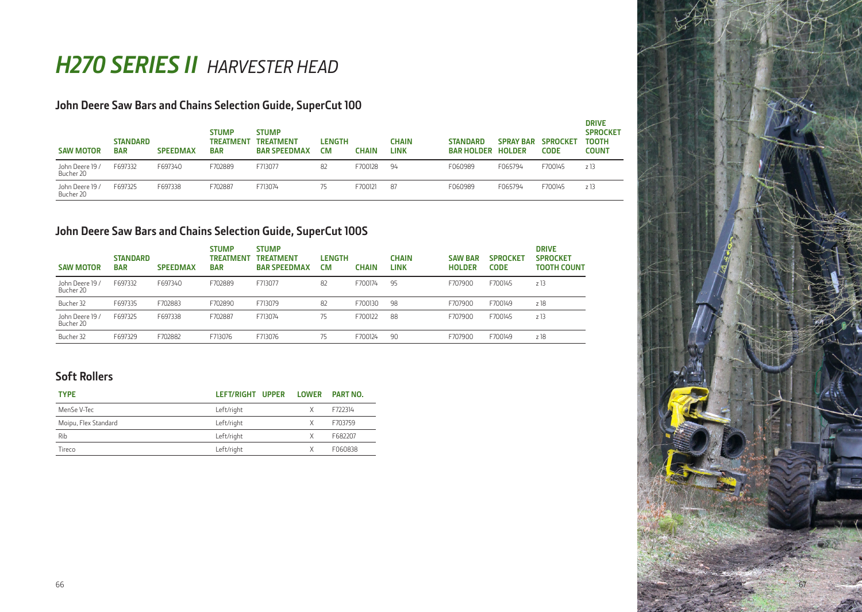# *H270 SERIES II HARVESTER HEAD*

## **John Deere Saw Bars and Chains Selection Guide, SuperCut 100**

| <b>SAW MOTOR</b>             | <b>STANDARD</b><br><b>BAR</b> | <b>SPEEDMAX</b> | <b>STUMP</b><br><b>TREATMENT</b><br><b>BAR</b> | <b>STUMP</b><br>TREATMENT<br><b>BAR SPEEDMAX</b> | <b>LENGTH</b><br>СM | CHAIN   | CHAIN<br>LINK | <b>STANDARD</b><br><b>BAR HOLDER</b> | <b>SPRAY BAR</b><br><b>HOLDER</b> | <b>SPROCKET</b><br><b>CODE</b> | <b>DRIVE</b><br><b>SPROCKET</b><br>TOOTH<br>COUNT |
|------------------------------|-------------------------------|-----------------|------------------------------------------------|--------------------------------------------------|---------------------|---------|---------------|--------------------------------------|-----------------------------------|--------------------------------|---------------------------------------------------|
| John Deere 19 /<br>Bucher 20 | F697332                       | F697340         | F702889                                        | F713077                                          | 82                  | F700128 | 94            | F060989                              | F065794                           | F700145                        | z 13                                              |
| John Deere 19 /<br>Bucher 20 | F697325                       | F697338         | F702887                                        | F713074                                          | 75                  | F700121 | 87            | F060989                              | F065794                           | F700145                        | z 13                                              |

## **John Deere Saw Bars and Chains Selection Guide, SuperCut 100S**

| <b>SAW MOTOR</b>             | <b>STANDARD</b><br><b>BAR</b> | <b>SPEEDMAX</b> | <b>STUMP</b><br><b>TREATMEN</b><br><b>BAR</b> | <b>STUMP</b><br><b>TREATMENT</b><br><b>BAR SPEEDMAX</b> | <b>LENGTH</b><br><b>CM</b> | <b>CHAIN</b> | <b>CHAIN</b><br><b>LINK</b> | <b>SAW BAR</b><br><b>HOLDER</b> | <b>SPROCKET</b><br><b>CODE</b> | <b>DRIVE</b><br><b>SPROCKET</b><br><b>TOOTH COUNT</b> |
|------------------------------|-------------------------------|-----------------|-----------------------------------------------|---------------------------------------------------------|----------------------------|--------------|-----------------------------|---------------------------------|--------------------------------|-------------------------------------------------------|
| John Deere 19 /<br>Bucher 20 | F697332                       | F697340         | F702889                                       | F713077                                                 | 82                         | F700174      | 95                          | F707900                         | F700145                        | z13                                                   |
| Bucher 32                    | F697335                       | F702883         | F702890                                       | F713079                                                 | 82                         | F700130      | 98                          | F707900                         | F700149                        | z 18                                                  |
| John Deere 19 /<br>Bucher 20 | F697325                       | F697338         | F702887                                       | F713074                                                 | 75                         | F700122      | 88                          | F707900                         | F700145                        | z 13                                                  |
| Bucher 32                    | F697329                       | F702882         | F713076                                       | F713076                                                 | 75                         | F700124      | 90                          | F707900                         | F700149                        | z 18                                                  |

## **Soft Rollers**

| <b>TYPE</b>          | LEFT/RIGHT UPPER LOWER |   | PART NO. |
|----------------------|------------------------|---|----------|
| MenSe V-Tec          | Left/right             | X | F722314  |
| Moipu, Flex Standard | Left/right             | X | F703759  |
| Rib                  | Left/right             | X | F682207  |
| Tireco               | Left/right             | Χ | F060838  |